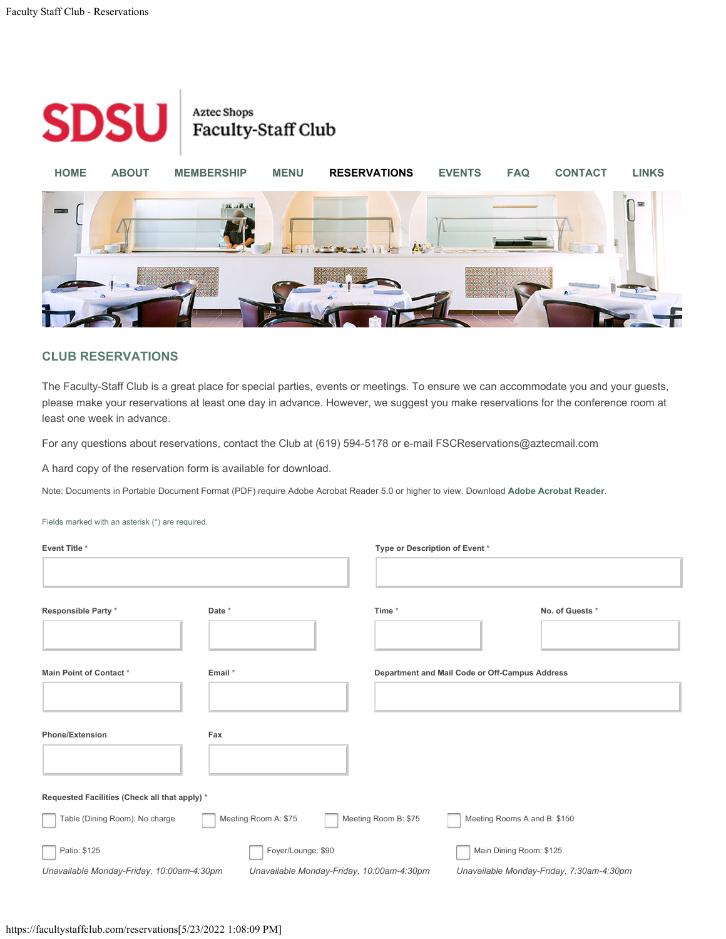## <span id="page-0-1"></span><span id="page-0-0"></span>Fields marked with an asterisk (\*) are required.

| <b>Event Title *</b>                           |                                            |                      | Type or Description of Event *                          |  |  |
|------------------------------------------------|--------------------------------------------|----------------------|---------------------------------------------------------|--|--|
| Responsible Party *                            | Date *                                     | Time *               | No. of Guests *                                         |  |  |
| Main Point of Contact*                         | Email *                                    |                      | Department and Mail Code or Off-Campus Address          |  |  |
| <b>Phone/Extension</b>                         | Fax                                        |                      |                                                         |  |  |
| Requested Facilities (Check all that apply) *  |                                            |                      |                                                         |  |  |
| Table (Dining Room): No charge<br>Patio: \$125 | Meeting Room A: \$75<br>Foyer/Lounge: \$90 | Meeting Room B: \$75 | Meeting Rooms A and B: \$150<br>Main Dining Room: \$125 |  |  |
| Unavailable Monday-Friday, 10:00am-4:30pm      | Unavailable Monday-Friday, 10:00am-4:30pm  |                      | Unavailable Monday-Friday, 7:30am-4:30pm                |  |  |